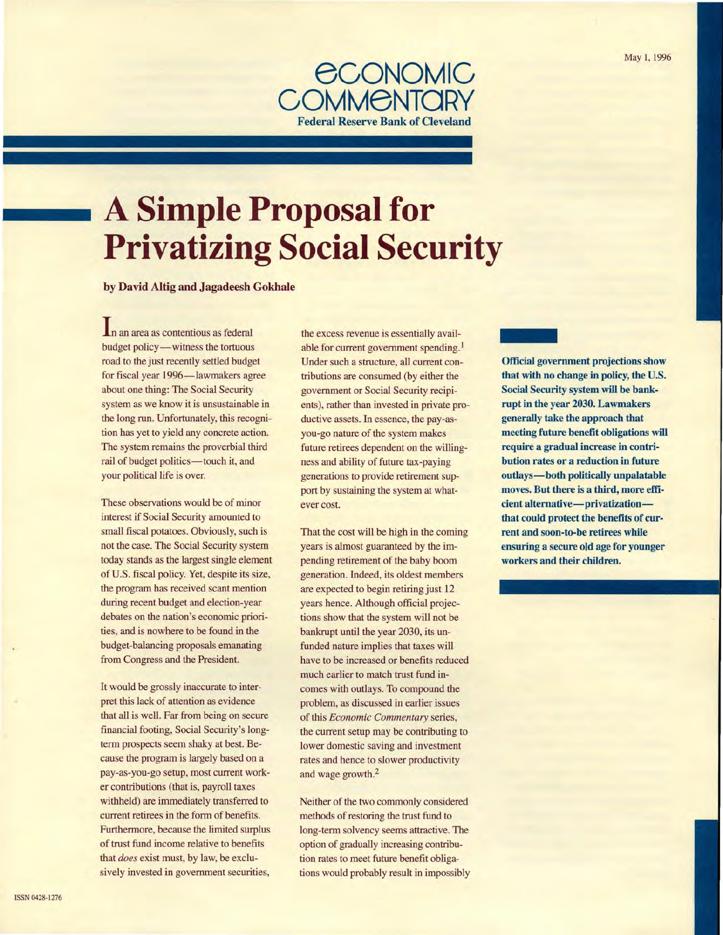

# **A Simple Proposal for Privatizing Social Security**

by David Altig and Jagadeesh Gokhale

In an area as contentious as federal budget policy-witness the tortuous road to the just recently settled budget for fiscal year 1996-lawmakers agree about one thing: The Social Security system as we know it is unsustainable in the long run. Unfortunately, this recognition has yet to yield any concrete action. The system remains the proverbial third rail of budget politics-touch it, and your political life is over.

These observations would be of minor interest if Social Security amounted to small fiscal potatoes. Obviously, such is not the case. The Social Security system today stands as the largest single element of U.S. fiscal policy. Yet, despite its size, the program has received scant mention during recent budget and election-year debates on the nation's economic priorities, and is nowhere to be found in the budget-balancing proposals emanating from Congress and the President.

It would be grossly inaccurate to interpret this lack of attention as evidence that all is well. Far from being on secure financial footing, Social Security's longterm prospects seem shaky at best. Because the program is largely based on a pay-as-you-go setup, most current worker contributions (that is, payroll taxes withheld) are immediately transferred to current retirees in the form of benefits. Furthermore, because the limited surplus of trust fund income relative to benefits that *does* exist must, by law, be exclusively invested in government securities,

the excess revenue is essentially available for current government spending.<sup>1</sup> Under such a structure, all current contributions are consumed (by either the government or Social Security recipients), rather than invested in private productive assets. In essence, the pay-asyou-go nature of the system makes future retirees dependent on the willingness and ability of future tax-paying generations to provide retirement support by sustaining the system at whatever cost.

That the cost will be high in the coming years is almost guaranteed by the impending retirement of the baby boom generation. Indeed, its oldest members are expected to begin retiring just 12 years hence. Although official projections show that the system will not be bankrupt until the year 2030, its unfunded nature implies that taxes will have to be increased or benefits reduced much earlier to match trust fund incomes with outlays. To compound the problem, as discussed in earlier issues of this *Economic Commentary* series, the current setup may be contributing to lower domestic saving and investment rates and hence to slower productivity and wage growth.<sup>2</sup>

Neither of the two commonly considered methods of restoring the trust fund to long-term solvency seems attractive. The option of gradually increasing contribution rates to meet future benefit obligations would probably result in impossibly **CONTECT**<br>Offici Official government projections show that with no change in policy, the U.S. Social Security system will be bankrupt in the year 2030. Lawmakers generally take the approach that meeting future benefit obligations will require a gradual increase in contribution rates or a reduction in future outlays-both politically unpalatable moves. But there is a third, more efficient alternative-privatizationthat could protect the benefits of current and soon-to-be retirees while ensuring a secure old age for younger workers and their children.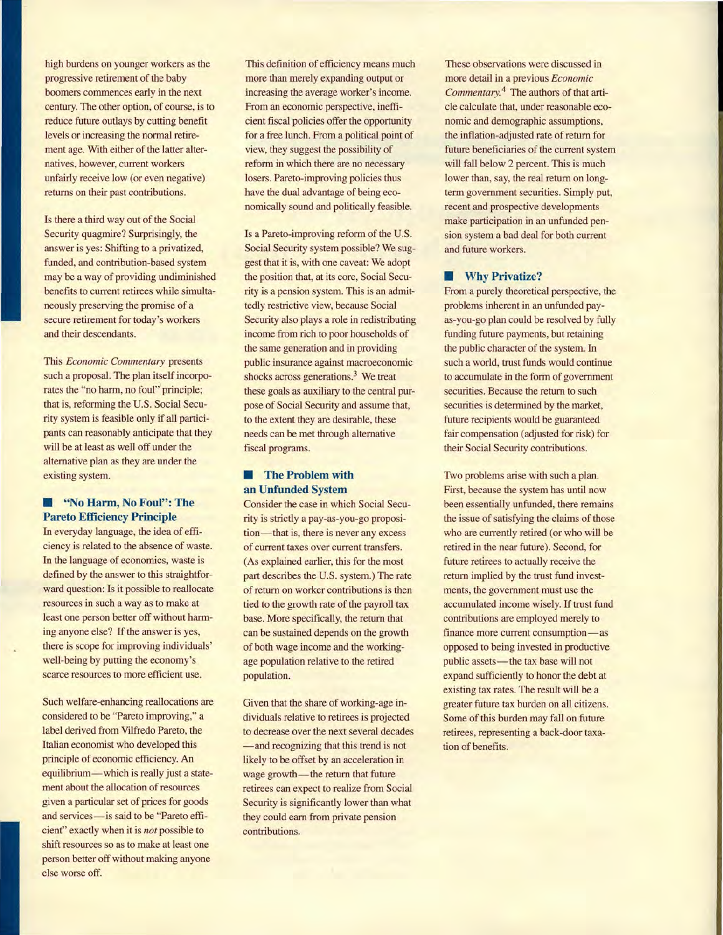high burdens on younger workers as the progressive retirement of the baby boomers commences early in the next century. The other option, of course, is to reduce future outlays by cutting benefit levels or increasing the normal retirement age. With either of the latter alternatives, however, current workers unfairly receive low (or even negative) returns on their past contributions.

Is there a third way out of the Social Security quagmire? Surprisingly, the answer is yes: Shifting to a privatized, funded, and contribution-based system may be a way of providing undiminished benefits to current retirees while simultaneously preserving the promise of a secure retirement for today's workers and their descendants.

This *Economic Commentary* presents such a proposal. The plan itself incorporates the "no harm, no foul" principle; that is, reforming the U.S. Social Security system is feasible only if all participants can reasonably anticipate that they will be at least as well off under the alternative plan as they are under the existing system.

## $\blacksquare$  **"No Harm, No Foul": The Pareto Efficiency Principle**

In everyday language, the idea of efficiency is related to the absence of waste. In the language of economics, waste is defined by the answer to this straightforward question: Is it possible to reallocate resources in such a way as to make at least one person better off without harming anyone else? If the answer is yes, there is scope for improving individuals' well-being by putting the economy's scarce resources to more efficient use.

Such welfare-enhancing reallocations are considered to be "Pareto improving," a label derived from Vilfredo Pareto, the Italian economist who developed this principle of economic efficiency. An equilibrium—which is really just a statement about the allocation of resources given a particular set of prices for goods and services-is said to be "Pareto efficient" exactly when it is *not* possible to shift resources so as to make at least one person better off without making anyone else worse off.

This definition of efficiency means much more than merely expanding output or increasing the average worker's income. From an economic perspective, inefficient fiscal policies offer the opportunity for a free lunch. From a political point of view, they suggest the possibility of reform in which there are no necessary losers. Pareto-improving policies thus have the dual advantage of being economically sound and politically feasible.

Is a Pareto-improving reform of the U.S. Social Security system possible? We suggest that it is, with one caveat: We adopt the position that, at its core, Social Security is a pension system. This is an admittedly restrictive view, because Social Security also plays a role in redistributing income from rich to poor households of the same generation and in providing public insurance against macroeconomic shocks across generations.<sup>3</sup> We treat these goals as auxiliary to the central purpose of Social Security and assume that, to the extent they are desirable, these needs can be met through alternative fiscal programs.

# **Fig. 3** The Problem with **an Unfunded System**

Consider the case in which Social Security is strictly a pay-as-you-go proposition—that is, there is never any excess of current taxes over current transfers. (As explained earlier, this for the most part describes the U.S. system.) The rate of return on worker contributions is then tied to the growth rate of the payroll tax base. More specifically, the return that can be sustained depends on the growth of both wage income and the workingage population relative to the retired population.

Given that the share of working-age individuals relative to retirees is projected to decrease over the next several decades -and recognizing that this trend is not likely to be offset by an acceleration in wage growth-the return that future retirees can expect to realize from Social Security is significantly lower than what they could earn from private pension contributions.

These observations were discussed in more detail in a previous *Economic Commentary.* 4 The authors of that article calculate that, under reasonable economic and demographic assumptions, the inflation-adjusted rate of return for future beneficiaries of the current system will fall below 2 percent. This is much lower than, say, the real return on longterm government securities. Simply put, recent and prospective developments make participation in an unfunded pension system a bad deal for both current and future workers.

## **• Why Privatize?**

From a purely theoretical perspective, the problems inherent in an unfunded payas-you-go plan could be resolved by fully funding future payments, but retaining the public character of the system. In such a world, trust funds would continue to accumulate in the form of government securities. Because the return to such securities is determined by the market, future recipients would be guaranteed fair compensation (adjusted for risk) for their Social Security contributions.

Two problems arise with such a plan. First, because the system has until now been essentially unfunded, there remains the issue of satisfying the claims of those who are currently retired (or who will be retired in the near future). Second, for future retirees to actually receive the return implied by the trust fund investments, the government must use the accumulated income wisely. If trust fund contributions are employed merely to finance more current consumption-as opposed to being invested in productive public assets-the tax base will not expand sufficiently to honor the debt at existing tax rates. The result will be a greater future tax burden on all citizens. Some of this burden may fall on future retirees, representing a back-door taxation of benefits.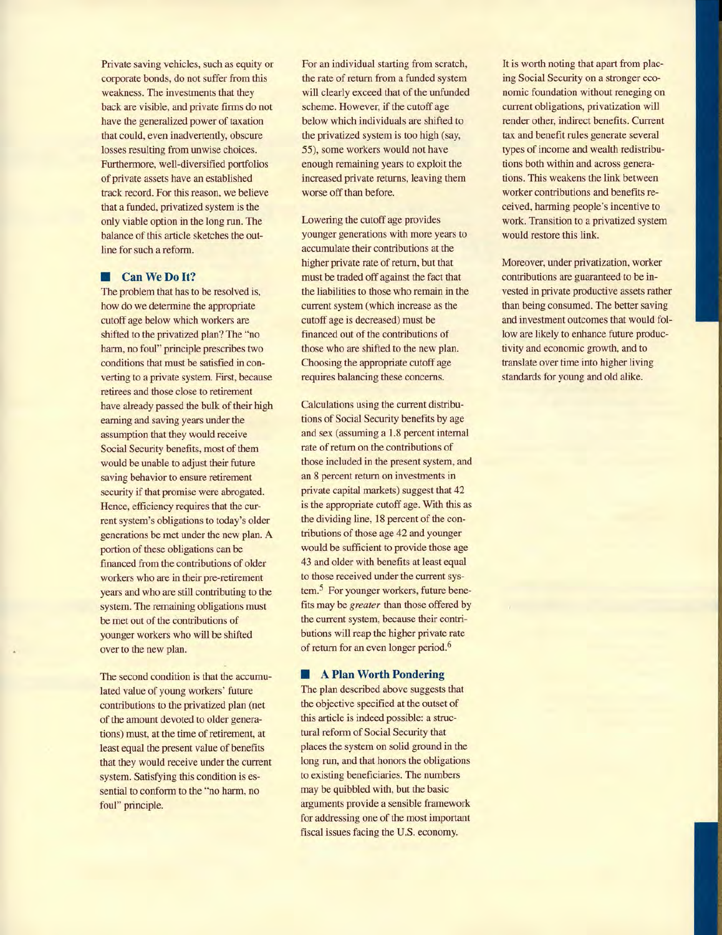Private saving vehicles, such as equity or corporate bonds, do not suffer from this weakness. The investments that they back are visible, and private firms do not have the generalized power of taxation that could, even inadvertently, obscure losses resulting from unwise choices. Furthermore, well-diversified portfolios of private assets have an established track record. For this reason, we believe that a funded, privatized system is the only viable option in the long run. The balance of this article sketches the outline for such a reform.

#### **• Can We Do It?**

The problem that has to be resolved is, how do we determine the appropriate cutoff age below which workers are shifted to the privatized plan? The "no harm, no foul" principle prescribes two conditions that must be satisfied in converting to a private system. First, because retirees and those close to retirement have already passed the bulk of their high earning and saving years under the assumption that they would receive Social Security benefits, most of them would be unable to adjust their future saving behavior to ensure retirement security if that promise were abrogated. Hence, efficiency requires that the current system's obligations to today's older generations be met under the new plan. A portion of these obligations can be financed from the contributions of older workers who are in their pre-retirement years and who are still contributing to the system. The remaining obligations must be met out of the contributions of younger workers who will be shifted over to the new plan.

The second condition is that the accumulated value of young workers' future contributions to the privatized plan (net of the amount devoted to older generations) must, at the time of retirement, at least equal the present value of benefits that they would receive under the current system. Satisfying this condition is essential to conform to the "no harm, no foul" principle.

For an individual starting from scratch, the rate of return from a funded system will clearly exceed that of the unfunded scheme. However, if the cutoff age below which individuals are shifted to the privatized system is too high (say, 55), some workers would not have enough remaining years to exploit the increased private returns, leaving them worse off than before.

Lowering the cutoff age provides younger generations with more years to accumulate their contributions at the higher private rate of return, but that must be traded off against the fact that the liabilities to those who remain in the current system (which increase as the cutoff age is decreased) must be financed out of the contributions of those who are shifted to the new plan. Choosing the appropriate cutoff age requires balancing these concerns.

Calculations using the current distributions of Social Security benefits by age and sex (assuming a 1.8 percent internal rate of return on the contributions of those included in the present system, and an 8 percent return on investments in private capital markets) suggest that 42 is the appropriate cutoff age. With this as the dividing line, 18 percent of the contributions of those age 42 and younger would be sufficient to provide those age 43 and older with benefits at least equal to those received under the current system.<sup>5</sup> For younger workers, future benefits may be *greater* than those offered by the current system, because their contributions will reap the higher private rate of return for an even longer period.<sup>6</sup>

#### **• A Plan Worth Pondering**

The plan described above suggests that the objective specified at the outset of this article is indeed possible: a structural reform of Social Security that places the system on solid ground in the long run, and that honors the obligations to existing beneficiaries. The numbers may be quibbled with, but the basic arguments provide a sensible framework for addressing one of the most important fiscal issues facing the U.S. economy.

It is worth noting that apart from placing Social Security on a stronger economic foundation without reneging on current obligations, privatization will render other, indirect benefits. Current tax and benefit rules generate several types of income and wealth redistributions both within and across generations. This weakens the link between worker contributions and benefits received, harming people's incentive to work. Transition to a privatized system would restore this link.

Moreover, under privatization, worker contributions are guaranteed to be invested in private productive assets rather than being consumed. The better saving and investment outcomes that would follow are likely to enhance future productivity and economic growth, and to translate over time into higher living standards for young and old alike.